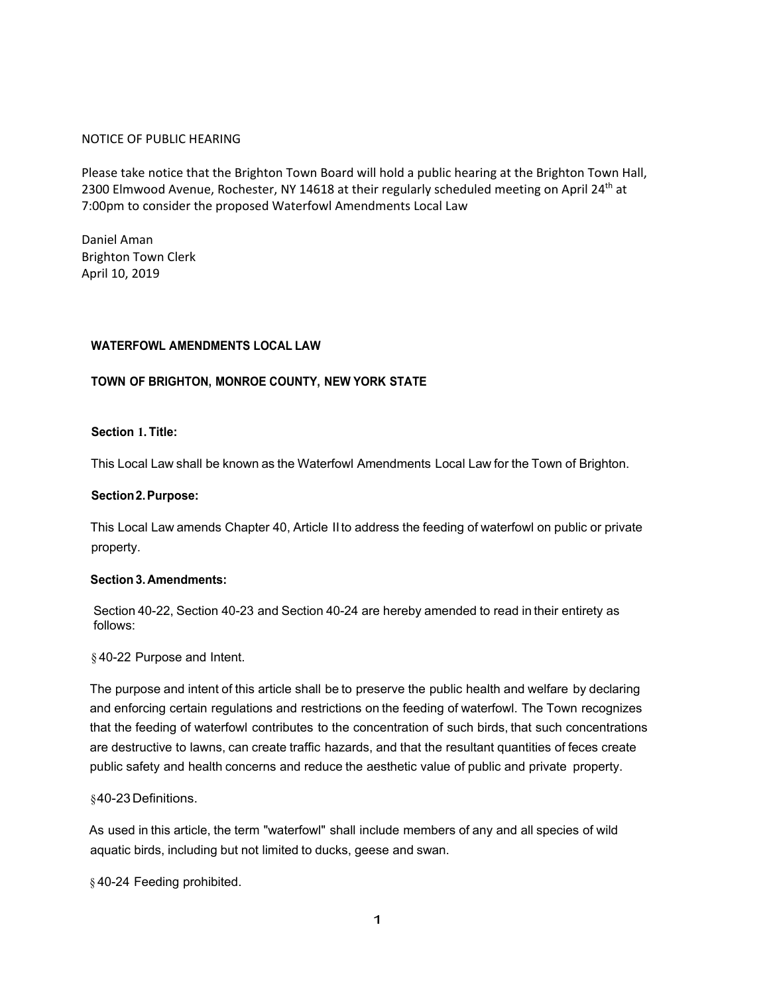## NOTICE OF PUBLIC HEARING

Please take notice that the Brighton Town Board will hold a public hearing at the Brighton Town Hall, 2300 Elmwood Avenue, Rochester, NY 14618 at their regularly scheduled meeting on April 24<sup>th</sup> at 7:00pm to consider the proposed Waterfowl Amendments Local Law

Daniel Aman Brighton Town Clerk April 10, 2019

## **WATERFOWL AMENDMENTS LOCAL LAW**

# **TOWN OF BRIGHTON, MONROE COUNTY, NEW YORK STATE**

## **Section 1. Title:**

This Local Law shall be known as the Waterfowl Amendments Local Law for the Town of Brighton.

#### **Section 2. Purpose:**

This Local Law amends Chapter 40, Article II to address the feeding of waterfowl on public or private property.

#### **Section 3. Amendments:**

Section 40-22, Section 40-23 and Section 40-24 are hereby amended to read in their entirety as follows:

§ 40-22 Purpose and Intent.

The purpose and intent of this article shall be to preserve the public health and welfare by declaring and enforcing certain regulations and restrictions on the feeding of waterfowl. The Town recognizes that the feeding of waterfowl contributes to the concentration of such birds, that such concentrations are destructive to lawns, can create traffic hazards, and that the resultant quantities of feces create public safety and health concerns and reduce the aesthetic value of public and private property.

#### § 40-23 Definitions.

As used in this article, the term "waterfowl" shall include members of any and all species of wild aquatic birds, including but not limited to ducks, geese and swan.

§ 40-24 Feeding prohibited.